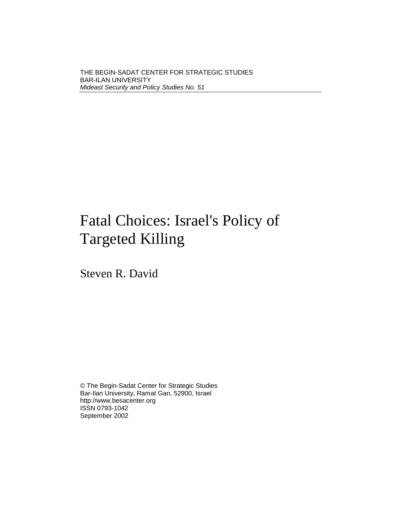# Fatal Choices: Israel's Policy of Targeted Killing

Steven R. David

© The Begin-Sadat Center for Strategic Studies Bar-Ilan University, Ramat Gan, 52900, Israel http://www.besacenter.org ISSN 0793-1042 September 2002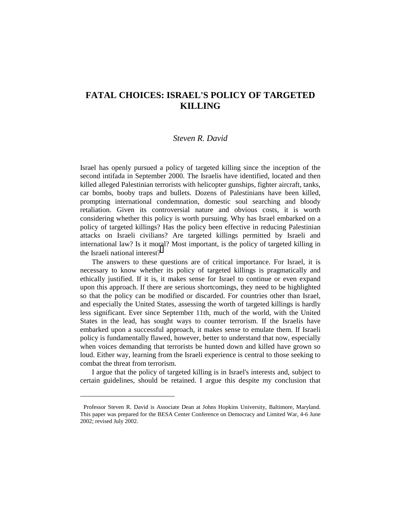# **FATAL CHOICES: ISRAEL'S POLICY OF TARGETED KILLING**

# *Steven R. David*

Israel has openly pursued a policy of targeted killing since the inception of the second intifada in September 2000. The Israelis have identified, located and then killed alleged Palestinian terrorists with helicopter gunships, fighter aircraft, tanks, car bombs, booby traps and bullets. Dozens of Palestinians have been killed, prompting international condemnation, domestic soul searching and bloody retaliation. Given its controversial nature and obvious costs, it is worth considering whether this policy is worth pursuing. Why has Israel embarked on a policy of targeted killings? Has the policy been effective in reducing Palestinian attacks on Israeli civilians? Are targeted killings permitted by Israeli and international law? Is it moral? Most important, is the policy of targeted killing in the Israeli national interest?

The answers to these questions are of critical importance. For Israel, it is necessary to know whether its policy of targeted killings is pragmatically and ethically justified. If it is, it makes sense for Israel to continue or even expand upon this approach. If there are serious shortcomings, they need to be highlighted so that the policy can be modified or discarded. For countries other than Israel, and especially the United States, assessing the worth of targeted killings is hardly less significant. Ever since September 11th, much of the world, with the United States in the lead, has sought ways to counter terrorism. If the Israelis have embarked upon a successful approach, it makes sense to emulate them. If Israeli policy is fundamentally flawed, however, better to understand that now, especially when voices demanding that terrorists be hunted down and killed have grown so loud. Either way, learning from the Israeli experience is central to those seeking to combat the threat from terrorism.

I argue that the policy of targeted killing is in Israel's interests and, subject to certain guidelines, should be retained. I argue this despite my conclusion that

l

Professor Steven R. David is Associate Dean at Johns Hopkins University, Baltimore, Maryland. This paper was prepared for the BESA Center Conference on Democracy and Limited War, 4-6 June 2002; revised July 2002.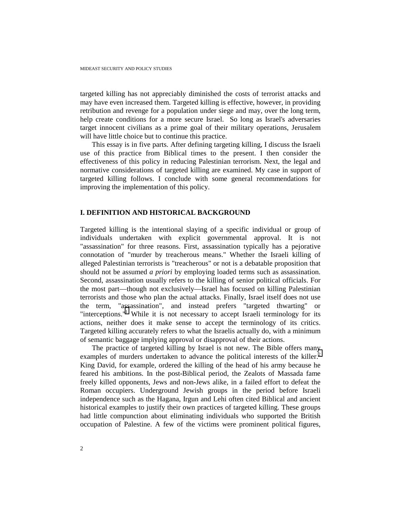targeted killing has not appreciably diminished the costs of terrorist attacks and may have even increased them. Targeted killing is effective, however, in providing retribution and revenge for a population under siege and may, over the long term, help create conditions for a more secure Israel. So long as Israel's adversaries target innocent civilians as a prime goal of their military operations, Jerusalem will have little choice but to continue this practice.

This essay is in five parts. After defining targeting killing, I discuss the Israeli use of this practice from Biblical times to the present. I then consider the effectiveness of this policy in reducing Palestinian terrorism. Next, the legal and normative considerations of targeted killing are examined. My case in support of targeted killing follows. I conclude with some general recommendations for improving the implementation of this policy.

## **I. DEFINITION AND HISTORICAL BACKGROUND**

Targeted killing is the intentional slaying of a specific individual or group of individuals undertaken with explicit governmental approval. It is not "assassination" for three reasons. First, assassination typically has a pejorative connotation of "murder by treacherous means." Whether the Israeli killing of alleged Palestinian terrorists is "treacherous" or not is a debatable proposition that should not be assumed *a priori* by employing loaded terms such as assassination. Second, assassination usually refers to the killing of senior political officials. For the most part—though not exclusively—Israel has focused on killing Palestinian terrorists and those who plan the actual attacks. Finally, Israel itself does not use the term, "assassination", and instead prefers "targeted thwarting" or "interceptions."<sup>[1](#page-24-0)</sup> While it is not necessary to accept Israeli terminology for its actions, neither does it make sense to accept the terminology of its critics. Targeted killing accurately refers to what the Israelis actually do, with a minimum of semantic baggage implying approval or disapproval of their actions.

The practice of targeted killing by Israel is not new. The Bible offers many examples of murders undertaken to advance the political interests of the killer.<sup>2</sup> King David, for example, ordered the killing of the head of his army because he feared his ambitions. In the post-Biblical period, the Zealots of Massada fame freely killed opponents, Jews and non-Jews alike, in a failed effort to defeat the Roman occupiers. Underground Jewish groups in the period before Israeli independence such as the Hagana, Irgun and Lehi often cited Biblical and ancient historical examples to justify their own practices of targeted killing. These groups had little compunction about eliminating individuals who supported the British occupation of Palestine. A few of the victims were prominent political figures,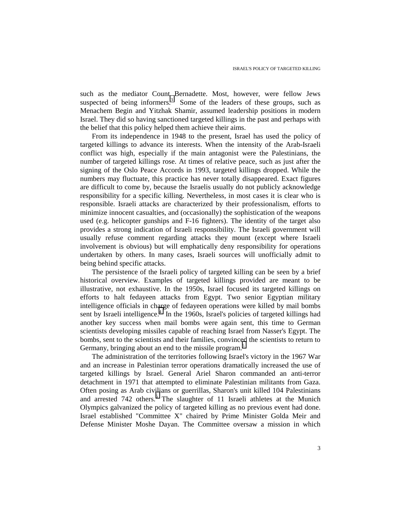such as the mediator Count Bernadette. Most, however, were fellow Jews suspected of being informers.<sup>3</sup> Some of the leaders of these groups, such as Menachem Begin and Yitzhak Shamir, assumed leadership positions in modern Israel. They did so having sanctioned targeted killings in the past and perhaps with the belief that this policy helped them achieve their aims.

From its independence in 1948 to the present, Israel has used the policy of targeted killings to advance its interests. When the intensity of the Arab-Israeli conflict was high, especially if the main antagonist were the Palestinians, the number of targeted killings rose. At times of relative peace, such as just after the signing of the Oslo Peace Accords in 1993, targeted killings dropped. While the numbers may fluctuate, this practice has never totally disappeared. Exact figures are difficult to come by, because the Israelis usually do not publicly acknowledge responsibility for a specific killing. Nevertheless, in most cases it is clear who is responsible. Israeli attacks are characterized by their professionalism, efforts to minimize innocent casualties, and (occasionally) the sophistication of the weapons used (e.g. helicopter gunships and F-16 fighters). The identity of the target also provides a strong indication of Israeli responsibility. The Israeli government will usually refuse comment regarding attacks they mount (except where Israeli involvement is obvious) but will emphatically deny responsibility for operations undertaken by others. In many cases, Israeli sources will unofficially admit to being behind specific attacks.

The persistence of the Israeli policy of targeted killing can be seen by a brief historical overview. Examples of targeted killings provided are meant to be illustrative, not exhaustive. In the 1950s, Israel focused its targeted killings on efforts to halt fedayeen attacks from Egypt. Two senior Egyptian military intelligence officials in charge of fedayeen operations were killed by mail bombs sent by Israeli intelligence.<sup>4</sup> In the 1960s, Israel's policies of targeted killings had another key success when mail bombs were again sent, this time to German scientists developing missiles capable of reaching Israel from Nasser's Egypt. The bombs, sent to the scientists and their families, convinced the scientists to return to Germany, bringing about an end to the missile program.<sup>[5](#page-24-0)</sup>

The administration of the territories following Israel's victory in the 1967 War and an increase in Palestinian terror operations dramatically increased the use of targeted killings by Israel. General Ariel Sharon commanded an anti-terror detachment in 1971 that attempted to eliminate Palestinian militants from Gaza. Often posing as Arab civ[ili](#page-24-0)ans or guerrillas, Sharon's unit killed 104 Palestinians and arrested 742 others.<sup>6</sup> The slaughter of 11 Israeli athletes at the Munich Olympics galvanized the policy of targeted killing as no previous event had done. Israel established "Committee X" chaired by Prime Minister Golda Meir and Defense Minister Moshe Dayan. The Committee oversaw a mission in which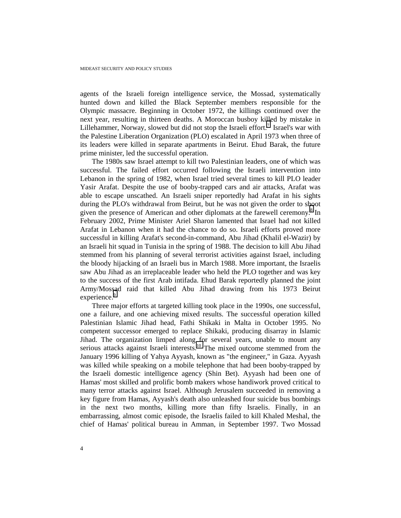agents of the Israeli foreign intelligence service, the Mossad, systematically hunted down and killed the Black September members responsible for the Olympic massacre. Beginning in October 1972, the killings continued over the next year, resulting in thirteen deaths. A Moroccan busboy killed by mistake in Lillehammer, Norway, slowed but did not stop the Israeli effort.<sup>[7](#page-24-0)</sup> Israel's war with the Palestine Liberation Organization (PLO) escalated in April 1973 when three of its leaders were killed in separate apartments in Beirut. Ehud Barak, the future prime minister, led the successful operation.

The 1980s saw Israel attempt to kill two Palestinian leaders, one of which was successful. The failed effort occurred following the Israeli intervention into Lebanon in the spring of 1982, when Israel tried several times to kill PLO leader Yasir Arafat. Despite the use of booby-trapped cars and air attacks, Arafat was able to escape unscathed. An Israeli sniper reportedly had Arafat in his sights during the PLO's withdrawal from Beirut, but he was not given the order to s[ho](#page-24-0)ot given the presence of American and other diplomats at the farewell ceremony.<sup>8</sup> In February 2002, Prime Minister Ariel Sharon lamented that Israel had not killed Arafat in Lebanon when it had the chance to do so. Israeli efforts proved more successful in killing Arafat's second-in-command, Abu Jihad (Khalil el-Wazir) by an Israeli hit squad in Tunisia in the spring of 1988. The decision to kill Abu Jihad stemmed from his planning of several terrorist activities against Israel, including the bloody hijacking of an Israeli bus in March 1988. More important, the Israelis saw Abu Jihad as an irreplaceable leader who held the PLO together and was key to the success of the first Arab intifada. Ehud Barak reportedly planned the joint Army/Mossad raid that killed Abu Jihad drawing from his 1973 Beirut experience.<sup>9</sup>

Three major efforts at targeted killing took place in the 1990s, one successful, one a failure, and one achieving mixed results. The successful operation killed Palestinian Islamic Jihad head, Fathi Shikaki in Malta in October 1995. No competent successor emerged to replace Shikaki, producing disarray in Islamic Jihad. The organization limped along for several years, unable to mount any serious attacks against Israeli interests.<sup>10</sup> The mixed outcome stemmed from the January 1996 killing of Yahya Ayyash, known as "the engineer," in Gaza. Ayyash was killed while speaking on a mobile telephone that had been booby-trapped by the Israeli domestic intelligence agency (Shin Bet). Ayyash had been one of Hamas' most skilled and prolific bomb makers whose handiwork proved critical to many terror attacks against Israel. Although Jerusalem succeeded in removing a key figure from Hamas, Ayyash's death also unleashed four suicide bus bombings in the next two months, killing more than fifty Israelis. Finally, in an embarrassing, almost comic episode, the Israelis failed to kill Khaled Meshal, the chief of Hamas' political bureau in Amman, in September 1997. Two Mossad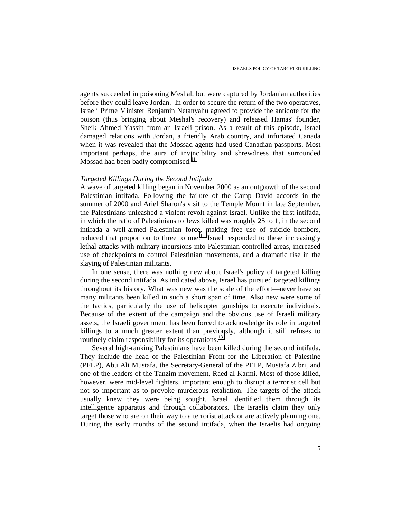agents succeeded in poisoning Meshal, but were captured by Jordanian authorities before they could leave Jordan. In order to secure the return of the two operatives, Israeli Prime Minister Benjamin Netanyahu agreed to provide the antidote for the poison (thus bringing about Meshal's recovery) and released Hamas' founder, Sheik Ahmed Yassin from an Israeli prison. As a result of this episode, Israel damaged relations with Jordan, a friendly Arab country, and infuriated Canada when it was revealed that the Mossad agents had used Canadian passports. Most important perhaps, the aura of invincibility and shrewdness that surrounded Mossad had been badly compromised. $^{11}$ 

#### *Targeted Killings During the Second Intifada*

A wave of targeted killing began in November 2000 as an outgrowth of the second Palestinian intifada. Following the failure of the Camp David accords in the summer of 2000 and Ariel Sharon's visit to the Temple Mount in late September, the Palestinians unleashed a violent revolt against Israel. Unlike the first intifada, in which the ratio of Palestinians to Jews killed was roughly 25 to 1, in the second intifada a well-armed Palestinian force, making free use of suicide bombers, reduced that proportion to three to one.<sup>12</sup> Israel responded to these increasingly lethal attacks with military incursions into Palestinian-controlled areas, increased use of checkpoints to control Palestinian movements, and a dramatic rise in the slaying of Palestinian militants.

In one sense, there was nothing new about Israel's policy of targeted killing during the second intifada. As indicated above, Israel has pursued targeted killings throughout its history. What was new was the scale of the effort—never have so many militants been killed in such a short span of time. Also new were some of the tactics, particularly the use of helicopter gunships to execute individuals. Because of the extent of the campaign and the obvious use of Israeli military assets, the Israeli government has been forced to acknowledge its role in targeted killings to a much greater extent than previously, although it still refuses to routinely claim responsibility for its operations.<sup>13</sup>

Several high-ranking Palestinians have been killed during the second intifada. They include the head of the Palestinian Front for the Liberation of Palestine (PFLP), Abu Ali Mustafa, the Secretary-General of the PFLP, Mustafa Zibri, and one of the leaders of the Tanzim movement, Raed al-Karmi. Most of those killed, however, were mid-level fighters, important enough to disrupt a terrorist cell but not so important as to provoke murderous retaliation. The targets of the attack usually knew they were being sought. Israel identified them through its intelligence apparatus and through collaborators. The Israelis claim they only target those who are on their way to a terrorist attack or are actively planning one. During the early months of the second intifada, when the Israelis had ongoing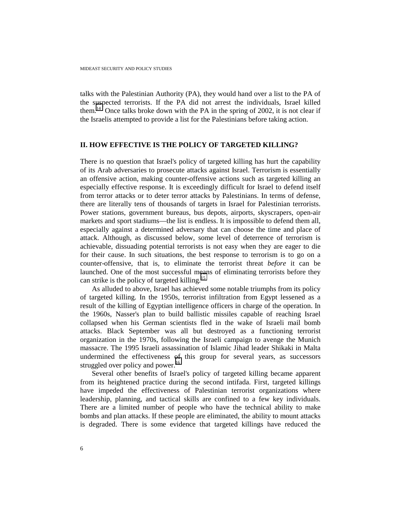talks with the Palestinian Authority (PA), they would hand over a list to the PA of the suspected terrorists. If the PA did not arrest the individuals, Israel killed them.<sup>14</sup> Once talks broke down with the PA in the spring of 2002, it is not clear if the Israelis attempted to provide a list for the Palestinians before taking action.

# **II. HOW EFFECTIVE IS THE POLICY OF TARGETED KILLING?**

There is no question that Israel's policy of targeted killing has hurt the capability of its Arab adversaries to prosecute attacks against Israel. Terrorism is essentially an offensive action, making counter-offensive actions such as targeted killing an especially effective response. It is exceedingly difficult for Israel to defend itself from terror attacks or to deter terror attacks by Palestinians. In terms of defense, there are literally tens of thousands of targets in Israel for Palestinian terrorists. Power stations, government bureaus, bus depots, airports, skyscrapers, open-air markets and sport stadiums—the list is endless. It is impossible to defend them all, especially against a determined adversary that can choose the time and place of attack. Although, as discussed below, some level of deterrence of terrorism is achievable, dissuading potential terrorists is not easy when they are eager to die for their cause. In such situations, the best response to terrorism is to go on a counter-offensive, that is, to eliminate the terrorist threat *before* it can be launched. One of the most successful means of eliminating terrorists before they can strike is the policy of targeted killing.<sup>15</sup>

As alluded to above, Israel has achieved some notable triumphs from its policy of targeted killing. In the 1950s, terrorist infiltration from Egypt lessened as a result of the killing of Egyptian intelligence officers in charge of the operation. In the 1960s, Nasser's plan to build ballistic missiles capable of reaching Israel collapsed when his German scientists fled in the wake of Israeli mail bomb attacks. Black September was all but destroyed as a functioning terrorist organization in the 1970s, following the Israeli campaign to avenge the Munich massacre. The 1995 Israeli assassination of Islamic Jihad leader Shikaki in Malta undermined the effectiveness of this group for several years, as successors struggled over policy and power. $16$ 

Several other benefits of Israel's policy of targeted killing became apparent from its heightened practice during the second intifada. First, targeted killings have impeded the effectiveness of Palestinian terrorist organizations where leadership, planning, and tactical skills are confined to a few key individuals. There are a limited number of people who have the technical ability to make bombs and plan attacks. If these people are eliminated, the ability to mount attacks is degraded. There is some evidence that targeted killings have reduced the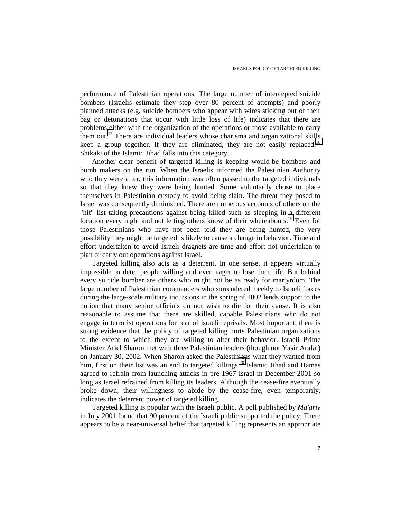performance of Palestinian operations. The large number of intercepted suicide bombers (Israelis estimate they stop over 80 percent of attempts) and poorly planned attacks (e.g. suicide bombers who appear with wires sticking out of their bag or detonations that occur with little loss of life) indicates that there are problems either with the organization of the operations or those available to carry them out.<sup>17</sup> There are individual leaders whose charisma and organizational skills keep a group together. If they are eliminated, they are not easily replaced.<sup>18</sup> Shikaki of the Islamic Jihad falls into this category.

Another clear benefit of targeted killing is keeping would-be bombers and bomb makers on the run. When the Israelis informed the Palestinian Authority who they were after, this information was often passed to the targeted individuals so that they knew they were being hunted. Some voluntarily chose to place themselves in Palestinian custody to avoid being slain. The threat they posed to Israel was consequently diminished. There are numerous accounts of others on the "hit" list taking precautions against being killed such as sleeping in a different location every night and not letting others know of their whereabouts.<sup>19</sup> Even for those Palestinians who have not been told they are being hunted, the very possibility they might be targeted is likely to cause a change in behavior. Time and effort undertaken to avoid Israeli dragnets are time and effort not undertaken to plan or carry out operations against Israel.

Targeted killing also acts as a deterrent. In one sense, it appears virtually impossible to deter people willing and even eager to lose their life. But behind every suicide bomber are others who might not be as ready for martyrdom. The large number of Palestinian commanders who surrendered meekly to Israeli forces during the large-scale military incursions in the spring of 2002 lends support to the notion that many senior officials do not wish to die for their cause. It is also reasonable to assume that there are skilled, capable Palestinians who do not engage in terrorist operations for fear of Israeli reprisals. Most important, there is strong evidence that the policy of targeted killing hurts Palestinian organizations to the extent to which they are willing to alter their behavior. Israeli Prime Minister Ariel Sharon met with three Palestinian leaders (though not Yasir Arafat) on January 30, 2002. When Sharon asked the Palestinians what they wanted from him, first on their list was an end to targeted killings.<sup>20</sup> Islamic Jihad and Hamas agreed to refrain from launching attacks in pre-1967 Israel in December 2001 so long as Israel refrained from killing its leaders. Although the cease-fire eventually broke down, their willingness to abide by the cease-fire, even temporarily, indicates the deterrent power of targeted killing.

Targeted killing is popular with the Israeli public. A poll published by *Ma'ariv* in July 2001 found that 90 percent of the Israeli public supported the policy. There appears to be a near-universal belief that targeted killing represents an appropriate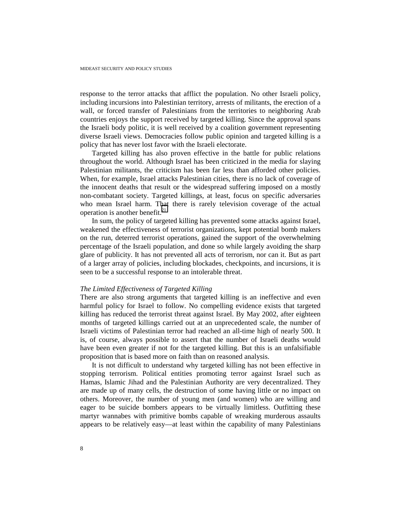response to the terror attacks that afflict the population. No other Israeli policy, including incursions into Palestinian territory, arrests of militants, the erection of a wall, or forced transfer of Palestinians from the territories to neighboring Arab countries enjoys the support received by targeted killing. Since the approval spans the Israeli body politic, it is well received by a coalition government representing diverse Israeli views. Democracies follow public opinion and targeted killing is a policy that has never lost favor with the Israeli electorate.

Targeted killing has also proven effective in the battle for public relations throughout the world. Although Israel has been criticized in the media for slaying Palestinian militants, the criticism has been far less than afforded other policies. When, for example, Israel attacks Palestinian cities, there is no lack of coverage of the innocent deaths that result or the widespread suffering imposed on a mostly non-combatant society. Targeted killings, at least, focus on specific adversaries who mean Israel harm. That there is rarely television coverage of the actual operation is another benefit. $^{21}$  $^{21}$  $^{21}$ 

In sum, the policy of targeted killing has prevented some attacks against Israel, weakened the effectiveness of terrorist organizations, kept potential bomb makers on the run, deterred terrorist operations, gained the support of the overwhelming percentage of the Israeli population, and done so while largely avoiding the sharp glare of publicity. It has not prevented all acts of terrorism, nor can it. But as part of a larger array of policies, including blockades, checkpoints, and incursions, it is seen to be a successful response to an intolerable threat.

## *The Limited Effectiveness of Targeted Killing*

There are also strong arguments that targeted killing is an ineffective and even harmful policy for Israel to follow. No compelling evidence exists that targeted killing has reduced the terrorist threat against Israel. By May 2002, after eighteen months of targeted killings carried out at an unprecedented scale, the number of Israeli victims of Palestinian terror had reached an all-time high of nearly 500. It is, of course, always possible to assert that the number of Israeli deaths would have been even greater if not for the targeted killing. But this is an unfalsifiable proposition that is based more on faith than on reasoned analysis.

It is not difficult to understand why targeted killing has not been effective in stopping terrorism. Political entities promoting terror against Israel such as Hamas, Islamic Jihad and the Palestinian Authority are very decentralized. They are made up of many cells, the destruction of some having little or no impact on others. Moreover, the number of young men (and women) who are willing and eager to be suicide bombers appears to be virtually limitless. Outfitting these martyr wannabes with primitive bombs capable of wreaking murderous assaults appears to be relatively easy—at least within the capability of many Palestinians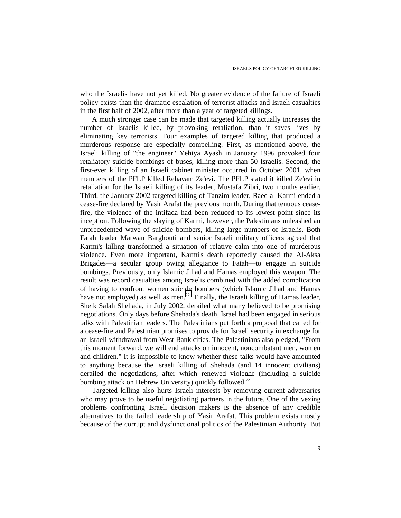who the Israelis have not yet killed. No greater evidence of the failure of Israeli policy exists than the dramatic escalation of terrorist attacks and Israeli casualties in the first half of 2002, after more than a year of targeted killings.

A much stronger case can be made that targeted killing actually increases the number of Israelis killed, by provoking retaliation, than it saves lives by eliminating key terrorists. Four examples of targeted killing that produced a murderous response are especially compelling. First, as mentioned above, the Israeli killing of "the engineer" Yehiya Ayash in January 1996 provoked four retaliatory suicide bombings of buses, killing more than 50 Israelis. Second, the first-ever killing of an Israeli cabinet minister occurred in October 2001, when members of the PFLP killed Rehavam Ze'evi. The PFLP stated it killed Ze'evi in retaliation for the Israeli killing of its leader, Mustafa Zibri, two months earlier. Third, the January 2002 targeted killing of Tanzim leader, Raed al-Karmi ended a cease-fire declared by Yasir Arafat the previous month. During that tenuous ceasefire, the violence of the intifada had been reduced to its lowest point since its inception. Following the slaying of Karmi, however, the Palestinians unleashed an unprecedented wave of suicide bombers, killing large numbers of Israelis. Both Fatah leader Marwan Barghouti and senior Israeli military officers agreed that Karmi's killing transformed a situation of relative calm into one of murderous violence. Even more important, Karmi's death reportedly caused the Al-Aksa Brigades—a secular group owing allegiance to Fatah—to engage in suicide bombings. Previously, only Islamic Jihad and Hamas employed this weapon. The result was record casualties among Israelis combined with the added complication of having to confront women suicide bombers (which Islamic Jihad and Hamas have not employed) as well as men.<sup>22</sup> Finally, the Israeli killing of Hamas leader, Sheik Salah Shehada, in July 2002, derailed what many believed to be promising negotiations. Only days before Shehada's death, Israel had been engaged in serious talks with Palestinian leaders. The Palestinians put forth a proposal that called for a cease-fire and Palestinian promises to provide for Israeli security in exchange for an Israeli withdrawal from West Bank cities. The Palestinians also pledged, "From this moment forward, we will end attacks on innocent, noncombatant men, women and children." It is impossible to know whether these talks would have amounted to anything because the Israeli killing of Shehada (and 14 innocent civilians) derailed the negotiations, after which renewed violence (including a suicide bombing attack on Hebrew University) quickly followed.<sup>23</sup>

Targeted killing also hurts Israeli interests by removing current adversaries who may prove to be useful negotiating partners in the future. One of the vexing problems confronting Israeli decision makers is the absence of any credible alternatives to the failed leadership of Yasir Arafat. This problem exists mostly because of the corrupt and dysfunctional politics of the Palestinian Authority. But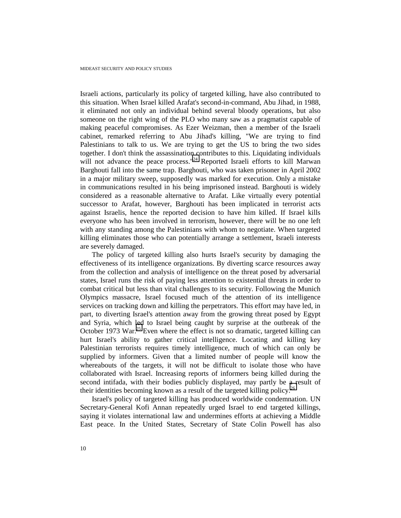Israeli actions, particularly its policy of targeted killing, have also contributed to this situation. When Israel killed Arafat's second-in-command, Abu Jihad, in 1988, it eliminated not only an individual behind several bloody operations, but also someone on the right wing of the PLO who many saw as a pragmatist capable of making peaceful compromises. As Ezer Weizman, then a member of the Israeli cabinet, remarked referring to Abu Jihad's killing, "We are trying to find Palestinians to talk to us. We are trying to get the US to bring the two sides together. I don't think the assassination contributes to this. Liquidating individuals will not advance the peace process."<sup>24</sup> Reported Israeli efforts to kill Marwan Barghouti fall into the same trap. Barghouti, who was taken prisoner in April 2002 in a major military sweep, supposedly was marked for execution. Only a mistake in communications resulted in his being imprisoned instead. Barghouti is widely considered as a reasonable alternative to Arafat. Like virtually every potential successor to Arafat, however, Barghouti has been implicated in terrorist acts against Israelis, hence the reported decision to have him killed. If Israel kills everyone who has been involved in terrorism, however, there will be no one left with any standing among the Palestinians with whom to negotiate. When targeted killing eliminates those who can potentially arrange a settlement, Israeli interests are severely damaged.

The policy of targeted killing also hurts Israel's security by damaging the effectiveness of its intelligence organizations. By diverting scarce resources away from the collection and analysis of intelligence on the threat posed by adversarial states, Israel runs the risk of paying less attention to existential threats in order to combat critical but less than vital challenges to its security. Following the Munich Olympics massacre, Israel focused much of the attention of its intelligence services on tracking down and killing the perpetrators. This effort may have led, in part, to diverting Israel's attention away from the growing threat posed by Egypt and Syria, which led to Israel being caught by surprise at the outbreak of the October 1973 War.<sup>25</sup> Even where the effect is not so dramatic, targeted killing can hurt Israel's ability to gather critical intelligence. Locating and killing key Palestinian terrorists requires timely intelligence, much of which can only be supplied by informers. Given that a limited number of people will know the whereabouts of the targets, it will not be difficult to isolate those who have collaborated with Israel. Increasing reports of informers being killed during the second intifada, with their bodies publicly displayed, may partly be a result of their identities becoming known as a result of the targeted killing policy.<sup>26</sup>

Israel's policy of targeted killing has produced worldwide condemnation. UN Secretary-General Kofi Annan repeatedly urged Israel to end targeted killings, saying it violates international law and undermines efforts at achieving a Middle East peace. In the United States, Secretary of State Colin Powell has also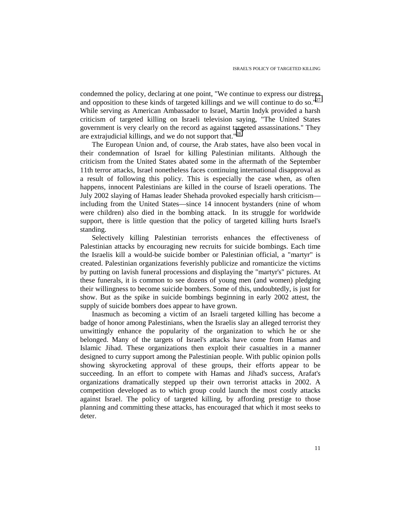condemned the policy, declaring at one point, "We continue to express our distress and opposition to these kinds of targeted killings and we will continue to do so." $^{27}$ While serving as American Ambassador to Israel, Martin Indyk provided a harsh criticism of targeted killing on Israeli television saying, "The United States government is very clearly on the record as against targeted assassinations." They are extrajudicial killings, and we do not support that."<sup>28</sup>

The European Union and, of course, the Arab states, have also been vocal in their condemnation of Israel for killing Palestinian militants. Although the criticism from the United States abated some in the aftermath of the September 11th terror attacks, Israel nonetheless faces continuing international disapproval as a result of following this policy. This is especially the case when, as often happens, innocent Palestinians are killed in the course of Israeli operations. The July 2002 slaying of Hamas leader Shehada provoked especially harsh criticism including from the United States—since 14 innocent bystanders (nine of whom were children) also died in the bombing attack. In its struggle for worldwide support, there is little question that the policy of targeted killing hurts Israel's standing.

Selectively killing Palestinian terrorists enhances the effectiveness of Palestinian attacks by encouraging new recruits for suicide bombings. Each time the Israelis kill a would-be suicide bomber or Palestinian official, a "martyr" is created. Palestinian organizations feverishly publicize and romanticize the victims by putting on lavish funeral processions and displaying the "martyr's" pictures. At these funerals, it is common to see dozens of young men (and women) pledging their willingness to become suicide bombers. Some of this, undoubtedly, is just for show. But as the spike in suicide bombings beginning in early 2002 attest, the supply of suicide bombers does appear to have grown.

Inasmuch as becoming a victim of an Israeli targeted killing has become a badge of honor among Palestinians, when the Israelis slay an alleged terrorist they unwittingly enhance the popularity of the organization to which he or she belonged. Many of the targets of Israel's attacks have come from Hamas and Islamic Jihad. These organizations then exploit their casualties in a manner designed to curry support among the Palestinian people. With public opinion polls showing skyrocketing approval of these groups, their efforts appear to be succeeding. In an effort to compete with Hamas and Jihad's success, Arafat's organizations dramatically stepped up their own terrorist attacks in 2002. A competition developed as to which group could launch the most costly attacks against Israel. The policy of targeted killing, by affording prestige to those planning and committing these attacks, has encouraged that which it most seeks to deter.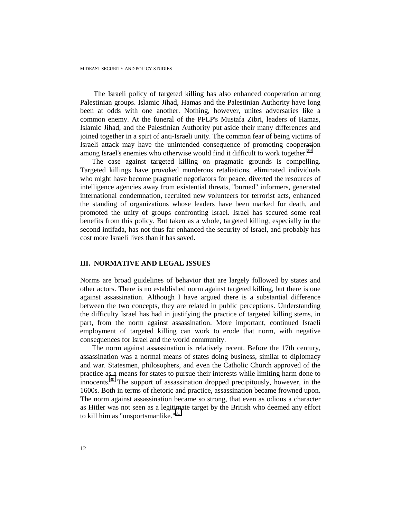The Israeli policy of targeted killing has also enhanced cooperation among Palestinian groups. Islamic Jihad, Hamas and the Palestinian Authority have long been at odds with one another. Nothing, however, unites adversaries like a common enemy. At the funeral of the PFLP's Mustafa Zibri, leaders of Hamas, Islamic Jihad, and the Palestinian Authority put aside their many differences and joined together in a spirt of anti-Israeli unity. The common fear of being victims of Israeli attack may have the unintended consequence of promoting cooperation among Israel's enemies who otherwise would find it difficult to work together.<sup>29</sup>

The case against targeted killing on pragmatic grounds is compelling. Targeted killings have provoked murderous retaliations, eliminated individuals who might have become pragmatic negotiators for peace, diverted the resources of intelligence agencies away from existential threats, "burned" informers, generated international condemnation, recruited new volunteers for terrorist acts, enhanced the standing of organizations whose leaders have been marked for death, and promoted the unity of groups confronting Israel. Israel has secured some real benefits from this policy. But taken as a whole, targeted killing, especially in the second intifada, has not thus far enhanced the security of Israel, and probably has cost more Israeli lives than it has saved.

## **III. NORMATIVE AND LEGAL ISSUES**

Norms are broad guidelines of behavior that are largely followed by states and other actors. There is no established norm against targeted killing, but there is one against assassination. Although I have argued there is a substantial difference between the two concepts, they are related in public perceptions. Understanding the difficulty Israel has had in justifying the practice of targeted killing stems, in part, from the norm against assassination. More important, continued Israeli employment of targeted killing can work to erode that norm, with negative consequences for Israel and the world community.

The norm against assassination is relatively recent. Before the 17th century, assassination was a normal means of states doing business, similar to diplomacy and war. Statesmen, philosophers, and even the Catholic Church approved of the practice as a means for states to pursue their interests while limiting harm done to innocents.<sup>30</sup> The support of assassination dropped precipitously, however, in the 1600s. Both in terms of rhetoric and practice, assassination became frowned upon. The norm against assassination became so strong, that even as odious a character as Hitler was not seen as a legitimate target by the British who deemed any effort to kill him as "unsportsmanlike." $31$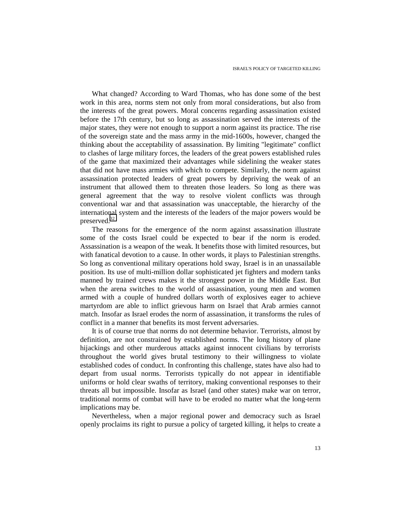What changed? According to Ward Thomas, who has done some of the best work in this area, norms stem not only from moral considerations, but also from the interests of the great powers. Moral concerns regarding assassination existed before the 17th century, but so long as assassination served the interests of the major states, they were not enough to support a norm against its practice. The rise of the sovereign state and the mass army in the mid-1600s, however, changed the thinking about the acceptability of assassination. By limiting "legitimate" conflict to clashes of large military forces, the leaders of the great powers established rules of the game that maximized their advantages while sidelining the weaker states that did not have mass armies with which to compete. Similarly, the norm against assassination protected leaders of great powers by depriving the weak of an instrument that allowed them to threaten those leaders. So long as there was general agreement that the way to resolve violent conflicts was through conventional war and that assassination was unacceptable, the hierarchy of the international system and the interests of the leaders of the major powers would be preserved.<sup>32</sup>

The reasons for the emergence of the norm against assassination illustrate some of the costs Israel could be expected to bear if the norm is eroded. Assassination is a weapon of the weak. It benefits those with limited resources, but with fanatical devotion to a cause. In other words, it plays to Palestinian strengths. So long as conventional military operations hold sway, Israel is in an unassailable position. Its use of multi-million dollar sophisticated jet fighters and modern tanks manned by trained crews makes it the strongest power in the Middle East. But when the arena switches to the world of assassination, young men and women armed with a couple of hundred dollars worth of explosives eager to achieve martyrdom are able to inflict grievous harm on Israel that Arab armies cannot match. Insofar as Israel erodes the norm of assassination, it transforms the rules of conflict in a manner that benefits its most fervent adversaries.

It is of course true that norms do not determine behavior. Terrorists, almost by definition, are not constrained by established norms. The long history of plane hijackings and other murderous attacks against innocent civilians by terrorists throughout the world gives brutal testimony to their willingness to violate established codes of conduct. In confronting this challenge, states have also had to depart from usual norms. Terrorists typically do not appear in identifiable uniforms or hold clear swaths of territory, making conventional responses to their threats all but impossible. Insofar as Israel (and other states) make war on terror, traditional norms of combat will have to be eroded no matter what the long-term implications may be.

Nevertheless, when a major regional power and democracy such as Israel openly proclaims its right to pursue a policy of targeted killing, it helps to create a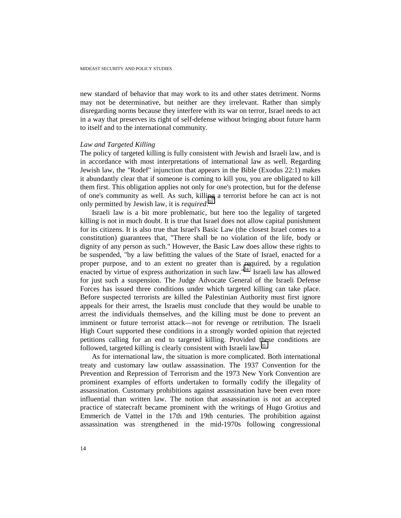new standard of behavior that may work to its and other states detriment. Norms may not be determinative, but neither are they irrelevant. Rather than simply disregarding norms because they interfere with its war on terror, Israel needs to act in a way that preserves its right of self-defense without bringing about future harm to itself and to the international community.

#### *Law and Targeted Killing*

The policy of targeted killing is fully consistent with Jewish and Israeli law, and is in accordance with most interpretations of international law as well. Regarding Jewish law, the "Rodef" injunction that appears in the Bible (Exodus 22:1) makes it abundantly clear that if someone is coming to kill you, you are obligated to kill them first. This obligation applies not only for one's protection, but for the defense of one's community as well. As such, killing a terrorist before he can act is not only permitted by Jewish law, it is *required*. [33](#page-24-0) 

Israeli law is a bit more problematic, but here too the legality of targeted killing is not in much doubt. It is true that Israel does not allow capital punishment for its citizens. It is also true that Israel's Basic Law (the closest Israel comes to a constitution) guarantees that, "There shall be no violation of the life, body or dignity of any person as such." However, the Basic Law does allow these rights to be suspended, "by a law befitting the values of the State of Israel, enacted for a proper purpose, and to an extent no greater than is required, by a regulation enacted by virtue of express authorization in such law."[34](#page-24-0) Israeli law has allowed for just such a suspension. The Judge Advocate General of the Israeli Defense Forces has issued three conditions under which targeted killing can take place. Before suspected terrorists are killed the Palestinian Authority must first ignore appeals for their arrest, the Israelis must conclude that they would be unable to arrest the individuals themselves, and the killing must be done to prevent an imminent or future terrorist attack—not for revenge or retribution. The Israeli High Court supported these conditions in a strongly worded opinion that rejected petitions calling for an end to targeted killing. Provided these conditions are followed, targeted killing is clearly consistent with Israeli law.<sup>35</sup>

As for international law, the situation is more complicated. Both international treaty and customary law outlaw assassination. The 1937 Convention for the Prevention and Repression of Terrorism and the 1973 New York Convention are prominent examples of efforts undertaken to formally codify the illegality of assassination. Customary prohibitions against assassination have been even more influential than written law. The notion that assassination is not an accepted practice of statecraft became prominent with the writings of Hugo Grotius and Emmerich de Vattel in the 17th and 19th centuries. The prohibition against assassination was strengthened in the mid-1970s following congressional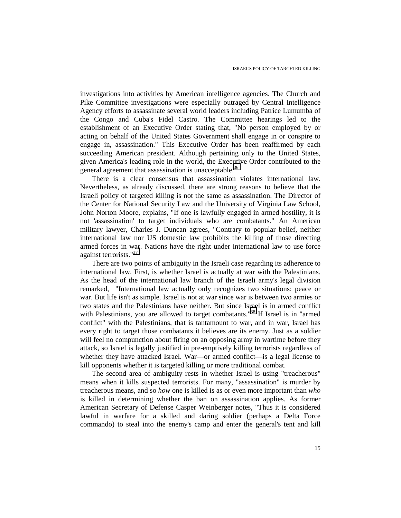investigations into activities by American intelligence agencies. The Church and Pike Committee investigations were especially outraged by Central Intelligence Agency efforts to assassinate several world leaders including Patrice Lumumba of the Congo and Cuba's Fidel Castro. The Committee hearings led to the establishment of an Executive Order stating that, "No person employed by or acting on behalf of the United States Government shall engage in or conspire to engage in, assassination." This Executive Order has been reaffirmed by each succeeding American president. Although pertaining only to the United States, given America's leading role in the world, the Executive Order contributed to the general agreement that assassination is unacceptable.<sup>36</sup>

There is a clear consensus that assassination violates international law. Nevertheless, as already discussed, there are strong reasons to believe that the Israeli policy of targeted killing is not the same as assassination. The Director of the Center for National Security Law and the University of Virginia Law School, John Norton Moore, explains, "If one is lawfully engaged in armed hostility, it is not 'assassination' to target individuals who are combatants." An American military lawyer, Charles J. Duncan agrees, "Contrary to popular belief, neither international law nor US domestic law prohibits the killing of those directing armed forces in war. Nations have the right under international law to use force against terrorists."[37](#page-24-0) 

There are two points of ambiguity in the Israeli case regarding its adherence to international law. First, is whether Israel is actually at war with the Palestinians. As the head of the international law branch of the Israeli army's legal division remarked, "International law actually only recognizes two situations: peace or war. But life isn't as simple. Israel is not at war since war is between two armies or two states and the Palestinians have neither. But since Israel is in armed conflict with Palestinians, you are allowed to target combatants."<sup>38</sup> If Israel is in "armed conflict" with the Palestinians, that is tantamount to war, and in war, Israel has every right to target those combatants it believes are its enemy. Just as a soldier will feel no compunction about firing on an opposing army in wartime before they attack, so Israel is legally justified in pre-emptively killing terrorists regardless of whether they have attacked Israel. War—or armed conflict—is a legal license to kill opponents whether it is targeted killing or more traditional combat.

The second area of ambiguity rests in whether Israel is using "treacherous" means when it kills suspected terrorists. For many, "assassination" is murder by treacherous means, and so *how* one is killed is as or even more important than *who* is killed in determining whether the ban on assassination applies. As former American Secretary of Defense Casper Weinberger notes, "Thus it is considered lawful in warfare for a skilled and daring soldier (perhaps a Delta Force commando) to steal into the enemy's camp and enter the general's tent and kill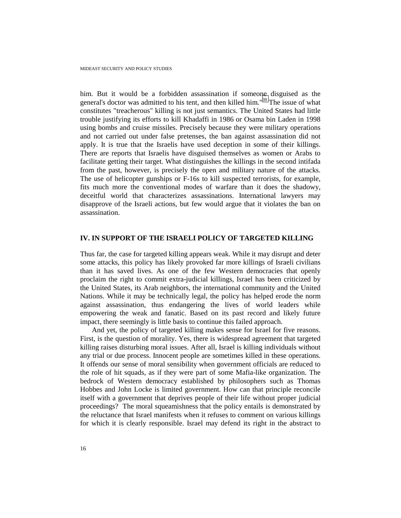MIDEAST SECURITY AND POLICY STUDIES

him. But it would be a forbidden assassination if someone disguised as the general's doctor was admitted to his tent, and then killed him."<sup>39</sup> The issue of what constitutes "treacherous" killing is not just semantics. The United States had little trouble justifying its efforts to kill Khadaffi in 1986 or Osama bin Laden in 1998 using bombs and cruise missiles. Precisely because they were military operations and not carried out under false pretenses, the ban against assassination did not apply. It is true that the Israelis have used deception in some of their killings. There are reports that Israelis have disguised themselves as women or Arabs to facilitate getting their target. What distinguishes the killings in the second intifada from the past, however, is precisely the open and military nature of the attacks. The use of helicopter gunships or F-16s to kill suspected terrorists, for example, fits much more the conventional modes of warfare than it does the shadowy, deceitful world that characterizes assassinations. International lawyers may disapprove of the Israeli actions, but few would argue that it violates the ban on assassination.

# **IV. IN SUPPORT OF THE ISRAELI POLICY OF TARGETED KILLING**

Thus far, the case for targeted killing appears weak. While it may disrupt and deter some attacks, this policy has likely provoked far more killings of Israeli civilians than it has saved lives. As one of the few Western democracies that openly proclaim the right to commit extra-judicial killings, Israel has been criticized by the United States, its Arab neighbors, the international community and the United Nations. While it may be technically legal, the policy has helped erode the norm against assassination, thus endangering the lives of world leaders while empowering the weak and fanatic. Based on its past record and likely future impact, there seemingly is little basis to continue this failed approach.

And yet, the policy of targeted killing makes sense for Israel for five reasons. First, is the question of morality. Yes, there is widespread agreement that targeted killing raises disturbing moral issues. After all, Israel is killing individuals without any trial or due process. Innocent people are sometimes killed in these operations. It offends our sense of moral sensibility when government officials are reduced to the role of hit squads, as if they were part of some Mafia-like organization. The bedrock of Western democracy established by philosophers such as Thomas Hobbes and John Locke is limited government. How can that principle reconcile itself with a government that deprives people of their life without proper judicial proceedings? The moral squeamishness that the policy entails is demonstrated by the reluctance that Israel manifests when it refuses to comment on various killings for which it is clearly responsible. Israel may defend its right in the abstract to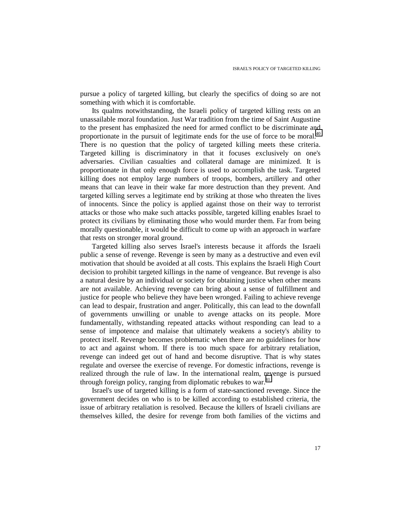pursue a policy of targeted killing, but clearly the specifics of doing so are not something with which it is comfortable.

Its qualms notwithstanding, the Israeli policy of targeted killing rests on an unassailable moral foundation. Just War tradition from the time of Saint Augustine to the present has emphasized the need for armed conflict to be discriminate and proportionate in the pursuit of legitimate ends for the use of force to be moral. $40$ There is no question that the policy of targeted killing meets these criteria. Targeted killing is discriminatory in that it focuses exclusively on one's adversaries. Civilian casualties and collateral damage are minimized. It is proportionate in that only enough force is used to accomplish the task. Targeted killing does not employ large numbers of troops, bombers, artillery and other means that can leave in their wake far more destruction than they prevent. And targeted killing serves a legitimate end by striking at those who threaten the lives of innocents. Since the policy is applied against those on their way to terrorist attacks or those who make such attacks possible, targeted killing enables Israel to protect its civilians by eliminating those who would murder them. Far from being morally questionable, it would be difficult to come up with an approach in warfare that rests on stronger moral ground.

Targeted killing also serves Israel's interests because it affords the Israeli public a sense of revenge. Revenge is seen by many as a destructive and even evil motivation that should be avoided at all costs. This explains the Israeli High Court decision to prohibit targeted killings in the name of vengeance. But revenge is also a natural desire by an individual or society for obtaining justice when other means are not available. Achieving revenge can bring about a sense of fulfillment and justice for people who believe they have been wronged. Failing to achieve revenge can lead to despair, frustration and anger. Politically, this can lead to the downfall of governments unwilling or unable to avenge attacks on its people. More fundamentally, withstanding repeated attacks without responding can lead to a sense of impotence and malaise that ultimately weakens a society's ability to protect itself. Revenge becomes problematic when there are no guidelines for how to act and against whom. If there is too much space for arbitrary retaliation, revenge can indeed get out of hand and become disruptive. That is why states regulate and oversee the exercise of revenge. For domestic infractions, revenge is realized through the rule of law. In the international realm, revenge is pursued through foreign policy, ranging from diplomatic rebukes to war.<sup>41</sup>

Israel's use of targeted killing is a form of state-sanctioned revenge. Since the government decides on who is to be killed according to established criteria, the issue of arbitrary retaliation is resolved. Because the killers of Israeli civilians are themselves killed, the desire for revenge from both families of the victims and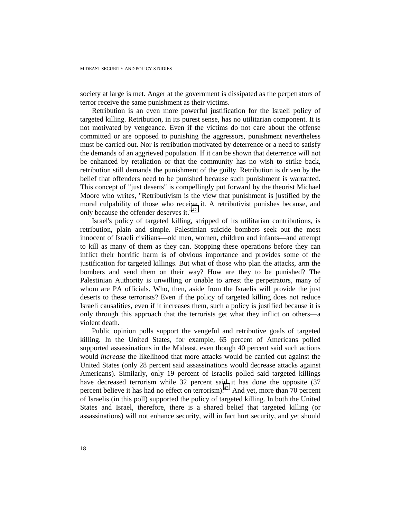society at large is met. Anger at the government is dissipated as the perpetrators of terror receive the same punishment as their victims.

Retribution is an even more powerful justification for the Israeli policy of targeted killing. Retribution, in its purest sense, has no utilitarian component. It is not motivated by vengeance. Even if the victims do not care about the offense committed or are opposed to punishing the aggressors, punishment nevertheless must be carried out. Nor is retribution motivated by deterrence or a need to satisfy the demands of an aggrieved population. If it can be shown that deterrence will not be enhanced by retaliation or that the community has no wish to strike back, retribution still demands the punishment of the guilty. Retribution is driven by the belief that offenders need to be punished because such punishment is warranted. This concept of "just deserts" is compellingly put forward by the theorist Michael Moore who writes, "Retributivism is the view that punishment is justified by the moral culpability of those who receive it. A retributivist punishes because, and only because the offender deserves it."<sup>42</sup>

Israel's policy of targeted killing, stripped of its utilitarian contributions, is retribution, plain and simple. Palestinian suicide bombers seek out the most innocent of Israeli civilians—old men, women, children and infants—and attempt to kill as many of them as they can. Stopping these operations before they can inflict their horrific harm is of obvious importance and provides some of the justification for targeted killings. But what of those who plan the attacks, arm the bombers and send them on their way? How are they to be punished? The Palestinian Authority is unwilling or unable to arrest the perpetrators, many of whom are PA officials. Who, then, aside from the Israelis will provide the just deserts to these terrorists? Even if the policy of targeted killing does not reduce Israeli causalities, even if it increases them, such a policy is justified because it is only through this approach that the terrorists get what they inflict on others—a violent death.

Public opinion polls support the vengeful and retributive goals of targeted killing. In the United States, for example, 65 percent of Americans polled supported assassinations in the Mideast, even though 40 percent said such actions would *increase* the likelihood that more attacks would be carried out against the United States (only 28 percent said assassinations would decrease attacks against Americans). Similarly, only 19 percent of Israelis polled said targeted killings have decreased terrorism while 32 percent said it has done the opposite (37 percent believe it has had no effect on terrorism).<sup>43</sup> And yet, more than 70 percent of Israelis (in this poll) supported the policy of targeted killing. In both the United States and Israel, therefore, there is a shared belief that targeted killing (or assassinations) will not enhance security, will in fact hurt security, and yet should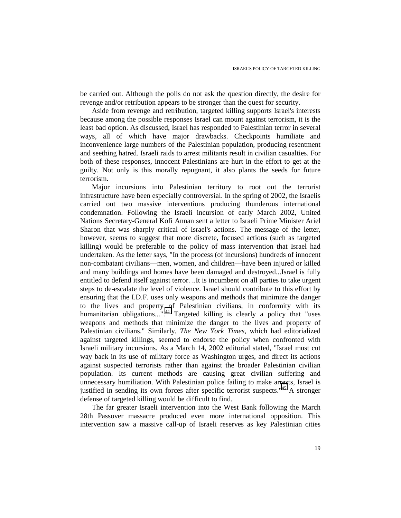be carried out. Although the polls do not ask the question directly, the desire for revenge and/or retribution appears to be stronger than the quest for security.

Aside from revenge and retribution, targeted killing supports Israel's interests because among the possible responses Israel can mount against terrorism, it is the least bad option. As discussed, Israel has responded to Palestinian terror in several ways, all of which have major drawbacks. Checkpoints humiliate and inconvenience large numbers of the Palestinian population, producing resentment and seething hatred. Israeli raids to arrest militants result in civilian casualties. For both of these responses, innocent Palestinians are hurt in the effort to get at the guilty. Not only is this morally repugnant, it also plants the seeds for future terrorism.

Major incursions into Palestinian territory to root out the terrorist infrastructure have been especially controversial. In the spring of 2002, the Israelis carried out two massive interventions producing thunderous international condemnation. Following the Israeli incursion of early March 2002, United Nations Secretary-General Kofi Annan sent a letter to Israeli Prime Minister Ariel Sharon that was sharply critical of Israel's actions. The message of the letter, however, seems to suggest that more discrete, focused actions (such as targeted killing) would be preferable to the policy of mass intervention that Israel had undertaken. As the letter says, "In the process (of incursions) hundreds of innocent non-combatant civilians—men, women, and children—have been injured or killed and many buildings and homes have been damaged and destroyed...Israel is fully entitled to defend itself against terror. ..It is incumbent on all parties to take urgent steps to de-escalate the level of violence. Israel should contribute to this effort by ensuring that the I.D.F. uses only weapons and methods that minimize the danger to the lives and property of Palestinian civilians, in conformity with its humanitarian obligations...".<sup>44</sup> Targeted killing is clearly a policy that "uses weapons and methods that minimize the danger to the lives and property of Palestinian civilians." Similarly, *The New York Times*, which had editorialized against targeted killings, seemed to endorse the policy when confronted with Israeli military incursions. As a March 14, 2002 editorial stated, "Israel must cut way back in its use of military force as Washington urges, and direct its actions against suspected terrorists rather than against the broader Palestinian civilian population. Its current methods are causing great civilian suffering and unnecessary humiliation. With Palestinian police failing to make arrests, Israel is justified in sending its own forces after specific terrorist suspects."<sup>45</sup> A stronger defense of targeted killing would be difficult to find.

The far greater Israeli intervention into the West Bank following the March 28th Passover massacre produced even more international opposition. This intervention saw a massive call-up of Israeli reserves as key Palestinian cities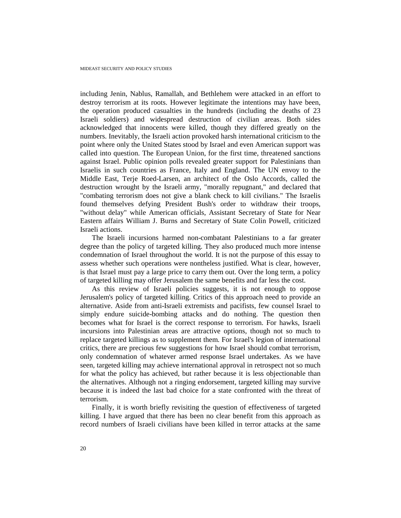including Jenin, Nablus, Ramallah, and Bethlehem were attacked in an effort to destroy terrorism at its roots. However legitimate the intentions may have been, the operation produced casualties in the hundreds (including the deaths of 23 Israeli soldiers) and widespread destruction of civilian areas. Both sides acknowledged that innocents were killed, though they differed greatly on the numbers. Inevitably, the Israeli action provoked harsh international criticism to the point where only the United States stood by Israel and even American support was called into question. The European Union, for the first time, threatened sanctions against Israel. Public opinion polls revealed greater support for Palestinians than Israelis in such countries as France, Italy and England. The UN envoy to the Middle East, Terje Roed-Larsen, an architect of the Oslo Accords, called the destruction wrought by the Israeli army, "morally repugnant," and declared that "combating terrorism does not give a blank check to kill civilians." The Israelis found themselves defying President Bush's order to withdraw their troops, "without delay" while American officials, Assistant Secretary of State for Near Eastern affairs William J. Burns and Secretary of State Colin Powell, criticized Israeli actions.

The Israeli incursions harmed non-combatant Palestinians to a far greater degree than the policy of targeted killing. They also produced much more intense condemnation of Israel throughout the world. It is not the purpose of this essay to assess whether such operations were nontheless justified. What is clear, however, is that Israel must pay a large price to carry them out. Over the long term, a policy of targeted killing may offer Jerusalem the same benefits and far less the cost.

As this review of Israeli policies suggests, it is not enough to oppose Jerusalem's policy of targeted killing. Critics of this approach need to provide an alternative. Aside from anti-Israeli extremists and pacifists, few counsel Israel to simply endure suicide-bombing attacks and do nothing. The question then becomes what for Israel is the correct response to terrorism. For hawks, Israeli incursions into Palestinian areas are attractive options, though not so much to replace targeted killings as to supplement them. For Israel's legion of international critics, there are precious few suggestions for how Israel should combat terrorism, only condemnation of whatever armed response Israel undertakes. As we have seen, targeted killing may achieve international approval in retrospect not so much for what the policy has achieved, but rather because it is less objectionable than the alternatives. Although not a ringing endorsement, targeted killing may survive because it is indeed the last bad choice for a state confronted with the threat of terrorism.

Finally, it is worth briefly revisiting the question of effectiveness of targeted killing. I have argued that there has been no clear benefit from this approach as record numbers of Israeli civilians have been killed in terror attacks at the same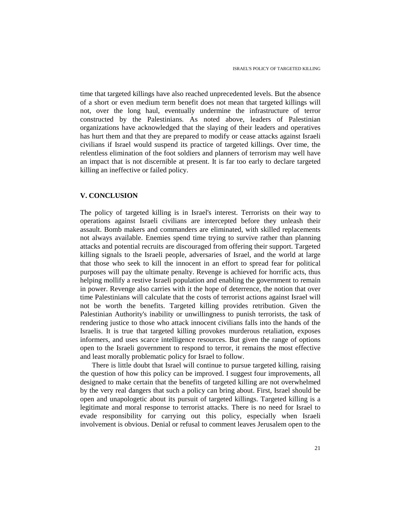time that targeted killings have also reached unprecedented levels. But the absence of a short or even medium term benefit does not mean that targeted killings will not, over the long haul, eventually undermine the infrastructure of terror constructed by the Palestinians. As noted above, leaders of Palestinian organizations have acknowledged that the slaying of their leaders and operatives has hurt them and that they are prepared to modify or cease attacks against Israeli civilians if Israel would suspend its practice of targeted killings. Over time, the relentless elimination of the foot soldiers and planners of terrorism may well have an impact that is not discernible at present. It is far too early to declare targeted killing an ineffective or failed policy.

## **V. CONCLUSION**

The policy of targeted killing is in Israel's interest. Terrorists on their way to operations against Israeli civilians are intercepted before they unleash their assault. Bomb makers and commanders are eliminated, with skilled replacements not always available. Enemies spend time trying to survive rather than planning attacks and potential recruits are discouraged from offering their support. Targeted killing signals to the Israeli people, adversaries of Israel, and the world at large that those who seek to kill the innocent in an effort to spread fear for political purposes will pay the ultimate penalty. Revenge is achieved for horrific acts, thus helping mollify a restive Israeli population and enabling the government to remain in power. Revenge also carries with it the hope of deterrence, the notion that over time Palestinians will calculate that the costs of terrorist actions against Israel will not be worth the benefits. Targeted killing provides retribution. Given the Palestinian Authority's inability or unwillingness to punish terrorists, the task of rendering justice to those who attack innocent civilians falls into the hands of the Israelis. It is true that targeted killing provokes murderous retaliation, exposes informers, and uses scarce intelligence resources. But given the range of options open to the Israeli government to respond to terror, it remains the most effective and least morally problematic policy for Israel to follow.

There is little doubt that Israel will continue to pursue targeted killing, raising the question of how this policy can be improved. I suggest four improvements, all designed to make certain that the benefits of targeted killing are not overwhelmed by the very real dangers that such a policy can bring about. First, Israel should be open and unapologetic about its pursuit of targeted killings. Targeted killing is a legitimate and moral response to terrorist attacks. There is no need for Israel to evade responsibility for carrying out this policy, especially when Israeli involvement is obvious. Denial or refusal to comment leaves Jerusalem open to the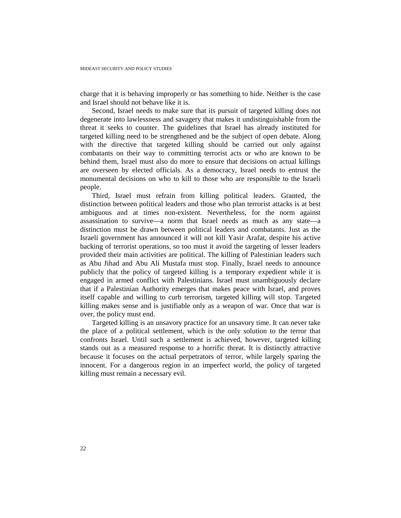charge that it is behaving improperly or has something to hide. Neither is the case and Israel should not behave like it is.

Second, Israel needs to make sure that its pursuit of targeted killing does not degenerate into lawlessness and savagery that makes it undistinguishable from the threat it seeks to counter. The guidelines that Israel has already instituted for targeted killing need to be strengthened and be the subject of open debate. Along with the directive that targeted killing should be carried out only against combatants on their way to committing terrorist acts or who are known to be behind them, Israel must also do more to ensure that decisions on actual killings are overseen by elected officials. As a democracy, Israel needs to entrust the monumental decisions on who to kill to those who are responsible to the Israeli people.

Third, Israel must refrain from killing political leaders. Granted, the distinction between political leaders and those who plan terrorist attacks is at best ambiguous and at times non-existent. Nevertheless, for the norm against assassination to survive—a norm that Israel needs as much as any state—a distinction must be drawn between political leaders and combatants. Just as the Israeli government has announced it will not kill Yasir Arafat, despite his active backing of terrorist operations, so too must it avoid the targeting of lesser leaders provided their main activities are political. The killing of Palestinian leaders such as Abu Jihad and Abu Ali Mustafa must stop. Finally, Israel needs to announce publicly that the policy of targeted killing is a temporary expedient while it is engaged in armed conflict with Palestinians. Israel must unambiguously declare that if a Palestinian Authority emerges that makes peace with Israel, and proves itself capable and willing to curb terrorism, targeted killing will stop. Targeted killing makes sense and is justifiable only as a weapon of war. Once that war is over, the policy must end.

Targeted killing is an unsavory practice for an unsavory time. It can never take the place of a political settlement, which is the only solution to the terror that confronts Israel. Until such a settlement is achieved, however, targeted killing stands out as a measured response to a horrific threat. It is distinctly attractive because it focuses on the actual perpetrators of terror, while largely sparing the innocent. For a dangerous region in an imperfect world, the policy of targeted killing must remain a necessary evil.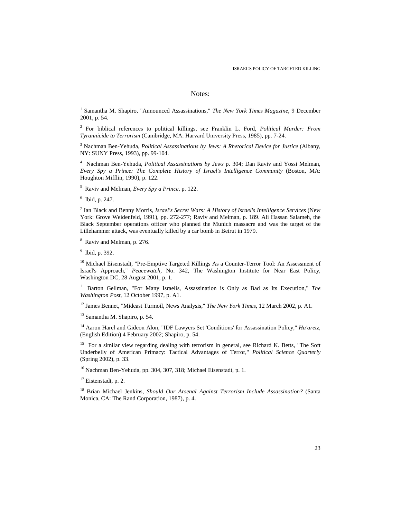## Notes:

<span id="page-24-0"></span><sup>1</sup> Samantha M. Shapiro, "Announced Assassinations," *The New York Times Magazine*, 9 December 2001, p. 54.

2 For biblical references to political killings, see Franklin L. Ford, *Political Murder: From Tyrannicide to Terrorism* (Cambridge, MA: Harvard University Press, 1985), pp. 7-24.

3 Nachman Ben-Yehuda, *Political Assassinations by Jews: A Rhetorical Device for Justice* (Albany, NY: SUNY Press, 1993), pp. 99-104.

4 Nachman Ben-Yehuda, *Political Assassinations by Jews* p. 304; Dan Raviv and Yossi Melman, *Every Spy a Prince: The Complete History of Israel's Intelligence Community* (Boston, MA: Houghton Mifflin, 1990), p. 122.

5 Raviv and Melman, *Every Spy a Prince*, p. 122.

 $6$  Ibid, p. 247.

7 Ian Black and Benny Morris, *Israel's Secret Wars: A History of Israel's Intelligence Services* (New York: Grove Weidenfeld, 1991), pp. 272-277; Raviv and Melman, p. 189. Ali Hassan Salameh, the Black September operations officer who planned the Munich massacre and was the target of the Lillehammer attack, was eventually killed by a car bomb in Beirut in 1979.

<sup>8</sup> Raviv and Melman, p. 276.

9 Ibid, p. 392.

<sup>10</sup> Michael Eisenstadt, "Pre-Emptive Targeted Killings As a Counter-Terror Tool: An Assessment of Israel's Approach," *Peacewatch*, No. 342, The Washington Institute for Near East Policy, Washington DC, 28 August 2001, p. 1.

11 Barton Gellman, "For Many Israelis, Assassination is Only as Bad as Its Execution," *The Washington Post*, 12 October 1997, p. A1.

12 James Bennet, "Mideast Turmoil, News Analysis," *The New York Times*, 12 March 2002, p. A1.

13 Samantha M. Shapiro, p. 54.

14 Aaron Harel and Gideon Alon, "IDF Lawyers Set 'Conditions' for Assassination Policy," *Ha'aretz*, (English Edition) 4 February 2002; Shapiro, p. 54.

<sup>15</sup> For a similar view regarding dealing with terrorism in general, see Richard K. Betts, "The Soft Underbelly of American Primacy: Tactical Advantages of Terror," *Political Science Quarterly*  (Spring 2002), p. 33.

16 Nachman Ben-Yehuda, pp. 304, 307, 318; Michael Eisenstadt, p. 1.

 $17$  Eistenstadt, p. 2.

18 Brian Michael Jenkins, *Should Our Arsenal Against Terrorism Include Assassination?* (Santa Monica, CA: The Rand Corporation, 1987), p. 4.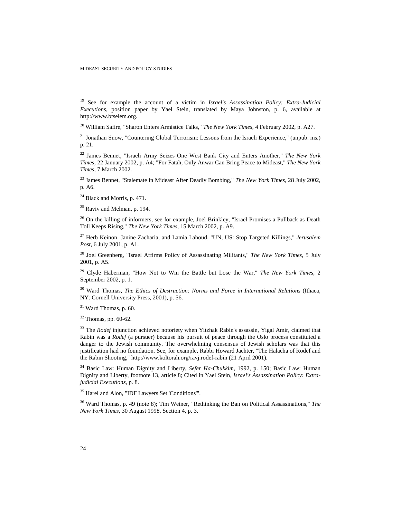19 See for example the account of a victim in *Israel's Assassination Policy: Extra-Judicial Executions,* position paper by Yael Stein, translated by Maya Johnston, p. 6, available at http://www.btselem.org.

20 William Safire, "Sharon Enters Armistice Talks," *The New York Times*, 4 February 2002, p. A27.

<sup>21</sup> Jonathan Snow, "Countering Global Terrorism: Lessons from the Israeli Experience," (unpub. ms.) p. 21.

22 James Bennet, "Israeli Army Seizes One West Bank City and Enters Another," *The New York Times*, 22 January 2002, p. A4; "For Fatah, Only Anwar Can Bring Peace to Mideast," *The New York Times*, 7 March 2002.

23 James Bennet, "Stalemate in Mideast After Deadly Bombing," *The New York Times*, 28 July 2002, p. A6.

<sup>24</sup> Black and Morris, p. 471.

 $25$  Raviv and Melman, p. 194.

<sup>26</sup> On the killing of informers, see for example, Joel Brinkley, "Israel Promises a Pullback as Death Toll Keeps Rising," *The New York Times*, 15 March 2002, p. A9.

27 Herb Keinon, Janine Zacharia, and Lamia Lahoud, "UN, US: Stop Targeted Killings," *Jerusalem Post*, 6 July 2001, p. A1.

28 Joel Greenberg, "Israel Affirms Policy of Assassinating Militants," *The New York Times*, 5 July 2001, p. A5.

29 Clyde Haberman, "How Not to Win the Battle but Lose the War," *The New York Times*, 2 September 2002, p. 1.

30 Ward Thomas, *The Ethics of Destruction: Norms and Force in International Relations* (Ithaca, NY: Cornell University Press, 2001), p. 56.

31 Ward Thomas, p. 60.

 $32$  Thomas, pp. 60-62.

<sup>33</sup> The *Rodef* injunction achieved notoriety when Yitzhak Rabin's assassin, Yigal Amir, claimed that Rabin was a *Rodef* (a pursuer) because his pursuit of peace through the Oslo process constituted a danger to the Jewish community. The overwhelming consensus of Jewish scholars was that this justification had no foundation. See, for example, Rabbi Howard Jachter, "The Halacha of Rodef and the Rabin Shooting," http://www.koltorah.org/ravj.rodef-rabin (21 April 2001).

34 Basic Law: Human Dignity and Liberty, *Sefer Ha-Chukkim*, 1992, p. 150; Basic Law: Human Dignity and Liberty, footnote 13, article 8; Cited in Yael Stein, *Israel's Assassination Policy: Extrajudicial Executions*, p. 8.

<sup>35</sup> Harel and Alon, "IDF Lawyers Set 'Conditions"'.

36 Ward Thomas, p. 49 (note 8); Tim Weiner, "Rethinking the Ban on Political Assassinations," *The New York Times*, 30 August 1998, Section 4, p. 3.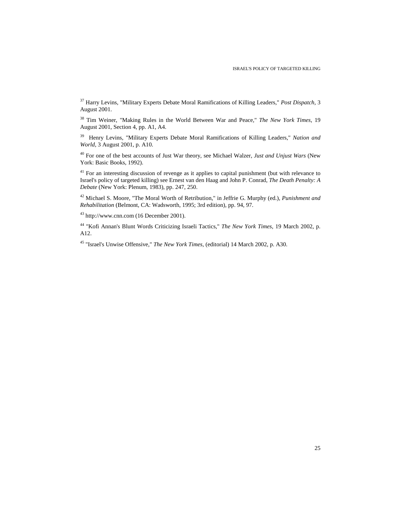37 Harry Levins, "Military Experts Debate Moral Ramifications of Killing Leaders," *Post Dispatch*, 3 August 2001.

38 Tim Weiner, "Making Rules in the World Between War and Peace," *The New York Times*, 19 August 2001, Section 4, pp. A1, A4.

39 Henry Levins, "Military Experts Debate Moral Ramifications of Killing Leaders," *Nation and World*, 3 August 2001, p. A10.

40 For one of the best accounts of Just War theory, see Michael Walzer, *Just and Unjust Wars* (New York: Basic Books, 1992).

 $41$  For an interesting discussion of revenge as it applies to capital punishment (but with relevance to Israel's policy of targeted killing) see Ernest van den Haag and John P. Conrad, *The Death Penalty: A Debate* (New York: Plenum, 1983), pp. 247, 250.

42 Michael S. Moore, "The Moral Worth of Retribution," in Jeffrie G. Murphy (ed.), *Punishment and Rehabilitation* (Belmont, CA: Wadsworth, 1995; 3rd edition), pp. 94, 97.

43 http://www.cnn.com (16 December 2001).

44 "Kofi Annan's Blunt Words Criticizing Israeli Tactics," *The New York Times*, 19 March 2002, p. A12.

45 "Israel's Unwise Offensive," *The New York Times*, (editorial) 14 March 2002, p. A30.